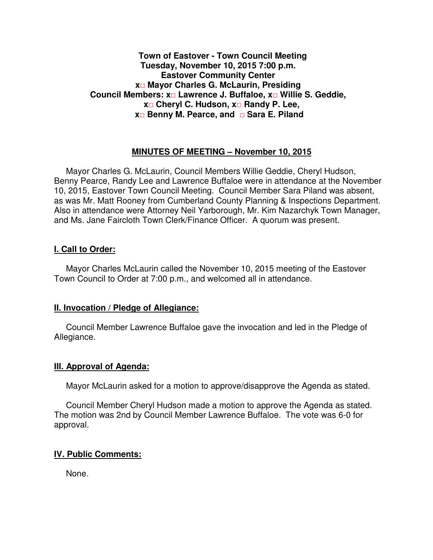#### **Town of Eastover - Town Council Meeting Tuesday, November 10, 2015 7:00 p.m. Eastover Community Center x□ Mayor Charles G. McLaurin, Presiding Council Members: x□ Lawrence J. Buffaloe, x□ Willie S. Geddie, x□ Cheryl C. Hudson, x□ Randy P. Lee, x□ Benny M. Pearce, and □ Sara E. Piland**

#### **MINUTES OF MEETING – November 10, 2015**

Mayor Charles G. McLaurin, Council Members Willie Geddie, Cheryl Hudson, Benny Pearce, Randy Lee and Lawrence Buffaloe were in attendance at the November 10, 2015, Eastover Town Council Meeting. Council Member Sara Piland was absent, as was Mr. Matt Rooney from Cumberland County Planning & Inspections Department. Also in attendance were Attorney Neil Yarborough, Mr. Kim Nazarchyk Town Manager, and Ms. Jane Faircloth Town Clerk/Finance Officer. A quorum was present.

#### **I. Call to Order:**

Mayor Charles McLaurin called the November 10, 2015 meeting of the Eastover Town Council to Order at 7:00 p.m., and welcomed all in attendance.

#### **II. Invocation / Pledge of Allegiance:**

 Council Member Lawrence Buffaloe gave the invocation and led in the Pledge of Allegiance.

#### **III. Approval of Agenda:**

Mayor McLaurin asked for a motion to approve/disapprove the Agenda as stated.

 Council Member Cheryl Hudson made a motion to approve the Agenda as stated. The motion was 2nd by Council Member Lawrence Buffaloe. The vote was 6-0 for approval.

# **IV. Public Comments:**

None.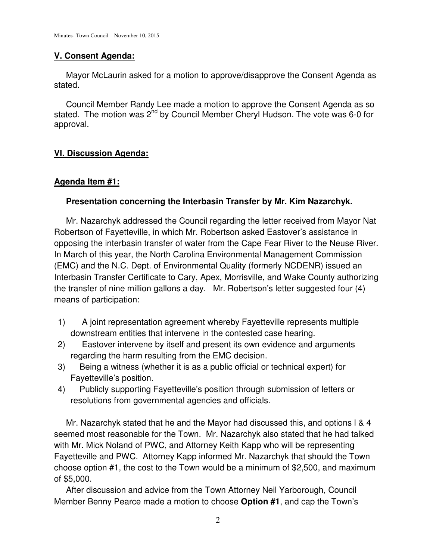### **V. Consent Agenda:**

 Mayor McLaurin asked for a motion to approve/disapprove the Consent Agenda as stated.

 Council Member Randy Lee made a motion to approve the Consent Agenda as so stated. The motion was 2<sup>nd</sup> by Council Member Cheryl Hudson. The vote was 6-0 for approval.

# **VI. Discussion Agenda:**

#### **Agenda Item #1:**

### **Presentation concerning the Interbasin Transfer by Mr. Kim Nazarchyk.**

 Mr. Nazarchyk addressed the Council regarding the letter received from Mayor Nat Robertson of Fayetteville, in which Mr. Robertson asked Eastover's assistance in opposing the interbasin transfer of water from the Cape Fear River to the Neuse River. In March of this year, the North Carolina Environmental Management Commission (EMC) and the N.C. Dept. of Environmental Quality (formerly NCDENR) issued an Interbasin Transfer Certificate to Cary, Apex, Morrisville, and Wake County authorizing the transfer of nine million gallons a day. Mr. Robertson's letter suggested four (4) means of participation:

- 1) A joint representation agreement whereby Fayetteville represents multiple downstream entities that intervene in the contested case hearing.
- 2) Eastover intervene by itself and present its own evidence and arguments regarding the harm resulting from the EMC decision.
- 3) Being a witness (whether it is as a public official or technical expert) for Fayetteville's position.
- 4) Publicly supporting Fayetteville's position through submission of letters or resolutions from governmental agencies and officials.

 Mr. Nazarchyk stated that he and the Mayor had discussed this, and options l & 4 seemed most reasonable for the Town. Mr. Nazarchyk also stated that he had talked with Mr. Mick Noland of PWC, and Attorney Keith Kapp who will be representing Fayetteville and PWC. Attorney Kapp informed Mr. Nazarchyk that should the Town choose option #1, the cost to the Town would be a minimum of \$2,500, and maximum of \$5,000.

 After discussion and advice from the Town Attorney Neil Yarborough, Council Member Benny Pearce made a motion to choose **Option #1**, and cap the Town's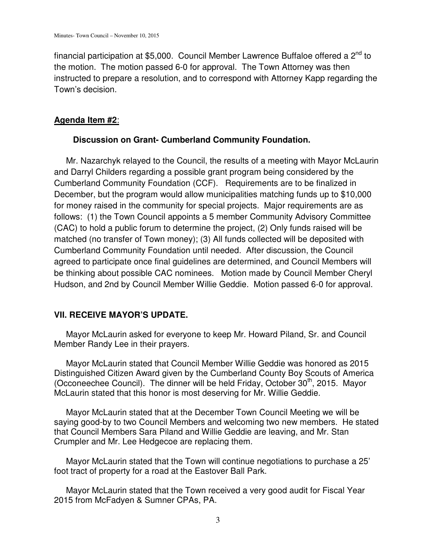financial participation at \$5,000. Council Member Lawrence Buffaloe offered a  $2^{nd}$  to the motion. The motion passed 6-0 for approval. The Town Attorney was then instructed to prepare a resolution, and to correspond with Attorney Kapp regarding the Town's decision.

### **Agenda Item #2**:

# **Discussion on Grant- Cumberland Community Foundation.**

 Mr. Nazarchyk relayed to the Council, the results of a meeting with Mayor McLaurin and Darryl Childers regarding a possible grant program being considered by the Cumberland Community Foundation (CCF). Requirements are to be finalized in December, but the program would allow municipalities matching funds up to \$10,000 for money raised in the community for special projects. Major requirements are as follows: (1) the Town Council appoints a 5 member Community Advisory Committee (CAC) to hold a public forum to determine the project, (2) Only funds raised will be matched (no transfer of Town money); (3) All funds collected will be deposited with Cumberland Community Foundation until needed. After discussion, the Council agreed to participate once final guidelines are determined, and Council Members will be thinking about possible CAC nominees. Motion made by Council Member Cheryl Hudson, and 2nd by Council Member Willie Geddie. Motion passed 6-0 for approval.

# **VII. RECEIVE MAYOR'S UPDATE.**

 Mayor McLaurin asked for everyone to keep Mr. Howard Piland, Sr. and Council Member Randy Lee in their prayers.

 Mayor McLaurin stated that Council Member Willie Geddie was honored as 2015 Distinguished Citizen Award given by the Cumberland County Boy Scouts of America (Occoneechee Council). The dinner will be held Friday, October  $30<sup>th</sup>$ , 2015. Mayor McLaurin stated that this honor is most deserving for Mr. Willie Geddie.

 Mayor McLaurin stated that at the December Town Council Meeting we will be saying good-by to two Council Members and welcoming two new members. He stated that Council Members Sara Piland and Willie Geddie are leaving, and Mr. Stan Crumpler and Mr. Lee Hedgecoe are replacing them.

 Mayor McLaurin stated that the Town will continue negotiations to purchase a 25' foot tract of property for a road at the Eastover Ball Park.

 Mayor McLaurin stated that the Town received a very good audit for Fiscal Year 2015 from McFadyen & Sumner CPAs, PA.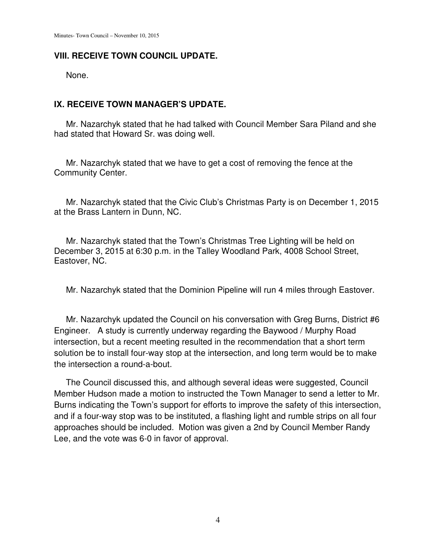### **VIII. RECEIVE TOWN COUNCIL UPDATE.**

None.

## **IX. RECEIVE TOWN MANAGER'S UPDATE.**

 Mr. Nazarchyk stated that he had talked with Council Member Sara Piland and she had stated that Howard Sr. was doing well.

 Mr. Nazarchyk stated that we have to get a cost of removing the fence at the Community Center.

 Mr. Nazarchyk stated that the Civic Club's Christmas Party is on December 1, 2015 at the Brass Lantern in Dunn, NC.

 Mr. Nazarchyk stated that the Town's Christmas Tree Lighting will be held on December 3, 2015 at 6:30 p.m. in the Talley Woodland Park, 4008 School Street, Eastover, NC.

Mr. Nazarchyk stated that the Dominion Pipeline will run 4 miles through Eastover.

 Mr. Nazarchyk updated the Council on his conversation with Greg Burns, District #6 Engineer. A study is currently underway regarding the Baywood / Murphy Road intersection, but a recent meeting resulted in the recommendation that a short term solution be to install four-way stop at the intersection, and long term would be to make the intersection a round-a-bout.

 The Council discussed this, and although several ideas were suggested, Council Member Hudson made a motion to instructed the Town Manager to send a letter to Mr. Burns indicating the Town's support for efforts to improve the safety of this intersection, and if a four-way stop was to be instituted, a flashing light and rumble strips on all four approaches should be included. Motion was given a 2nd by Council Member Randy Lee, and the vote was 6-0 in favor of approval.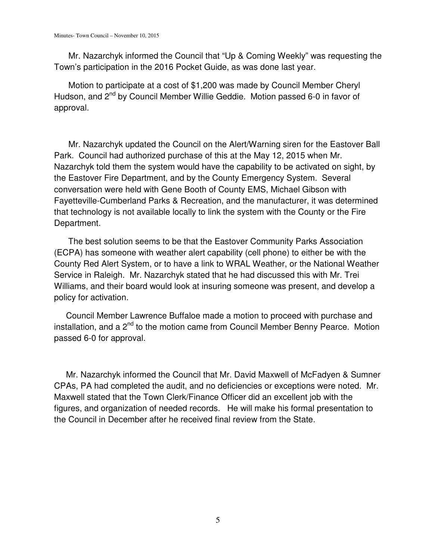Mr. Nazarchyk informed the Council that "Up & Coming Weekly" was requesting the Town's participation in the 2016 Pocket Guide, as was done last year.

 Motion to participate at a cost of \$1,200 was made by Council Member Cheryl Hudson, and 2<sup>nd</sup> by Council Member Willie Geddie. Motion passed 6-0 in favor of approval.

 Mr. Nazarchyk updated the Council on the Alert/Warning siren for the Eastover Ball Park. Council had authorized purchase of this at the May 12, 2015 when Mr. Nazarchyk told them the system would have the capability to be activated on sight, by the Eastover Fire Department, and by the County Emergency System. Several conversation were held with Gene Booth of County EMS, Michael Gibson with Fayetteville-Cumberland Parks & Recreation, and the manufacturer, it was determined that technology is not available locally to link the system with the County or the Fire Department.

 The best solution seems to be that the Eastover Community Parks Association (ECPA) has someone with weather alert capability (cell phone) to either be with the County Red Alert System, or to have a link to WRAL Weather, or the National Weather Service in Raleigh. Mr. Nazarchyk stated that he had discussed this with Mr. Trei Williams, and their board would look at insuring someone was present, and develop a policy for activation.

 Council Member Lawrence Buffaloe made a motion to proceed with purchase and installation, and a  $2^{nd}$  to the motion came from Council Member Benny Pearce. Motion passed 6-0 for approval.

 Mr. Nazarchyk informed the Council that Mr. David Maxwell of McFadyen & Sumner CPAs, PA had completed the audit, and no deficiencies or exceptions were noted. Mr. Maxwell stated that the Town Clerk/Finance Officer did an excellent job with the figures, and organization of needed records. He will make his formal presentation to the Council in December after he received final review from the State.